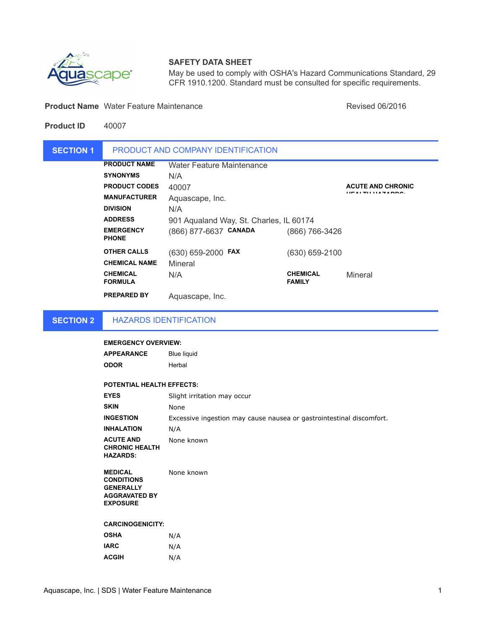

# **SAFETY DATA SHEET**

May be used to comply with OSHA's Hazard Communications Standard, 29 CFR 1910.1200. Standard must be consulted for specific requirements.

**Product Name** Water Feature Maintenance **Name Struck and Struck and American** Revised 06/2016

**Product ID** 40007

| <b>SECTION 1</b> |                                   | PRODUCT AND COMPANY IDENTIFICATION      |                                  |                          |
|------------------|-----------------------------------|-----------------------------------------|----------------------------------|--------------------------|
|                  | <b>PRODUCT NAME</b>               | <b>Water Feature Maintenance</b>        |                                  |                          |
|                  | <b>SYNONYMS</b>                   | N/A                                     |                                  |                          |
|                  | <b>PRODUCT CODES</b>              | 40007                                   |                                  | <b>ACUTE AND CHRONIC</b> |
|                  | <b>MANUFACTURER</b>               | Aquascape, Inc.                         |                                  | <b></b> .                |
|                  | <b>DIVISION</b>                   | N/A                                     |                                  |                          |
|                  | <b>ADDRESS</b>                    | 901 Aqualand Way, St. Charles, IL 60174 |                                  |                          |
|                  | <b>EMERGENCY</b><br><b>PHONE</b>  | (866) 877-6637 CANADA                   | (866) 766-3426                   |                          |
|                  | <b>OTHER CALLS</b>                | (630) 659-2000 FAX                      | (630) 659-2100                   |                          |
|                  | <b>CHEMICAL NAME</b>              | Mineral                                 |                                  |                          |
|                  | <b>CHEMICAL</b><br><b>FORMULA</b> | N/A                                     | <b>CHEMICAL</b><br><b>FAMILY</b> | Mineral                  |
|                  | <b>PREPARED BY</b>                | Aquascape, Inc.                         |                                  |                          |

**SECTION 2**

HAZARDS IDENTIFICATION

## **EMERGENCY OVERVIEW:**

| APPEARANCE | <b>Blue liquid</b> |
|------------|--------------------|
| ODOR       | Herbal             |

## **POTENTIAL HEALTH EFFECTS:**

| <b>EYES</b>                                                  | Slight irritation may occur                                          |
|--------------------------------------------------------------|----------------------------------------------------------------------|
| <b>SKIN</b>                                                  | None                                                                 |
| <b>INGESTION</b>                                             | Excessive ingestion may cause nausea or gastrointestinal discomfort. |
| <b>INHALATION</b>                                            | N/A                                                                  |
| <b>ACUTE AND</b><br><b>CHRONIC HEALTH</b><br><b>HAZARDS:</b> | None known                                                           |

**MEDICAL CONDITIONS GENERALLY AGGRAVATED BY EXPOSURE** None known

**CARCINOGENICITY:**

| <b>OSHA</b>  | N/A |
|--------------|-----|
| IARC         | N/A |
| <b>ACGIH</b> | N/A |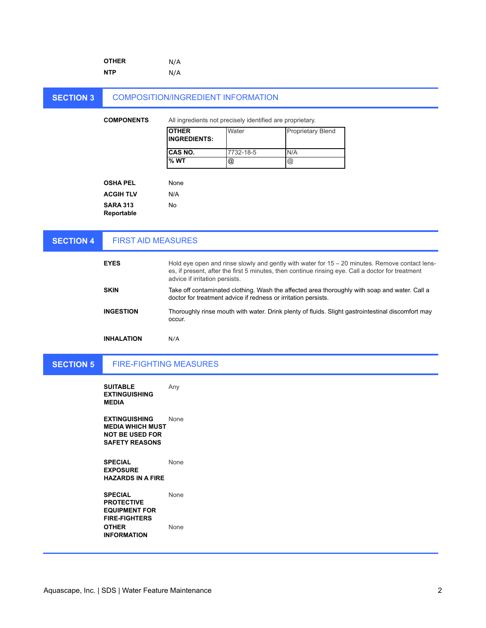|                  | <b>OTHER</b>                                                                                       | N/A                                                            |                                                           |                          |                                                                                                                                                                                                     |
|------------------|----------------------------------------------------------------------------------------------------|----------------------------------------------------------------|-----------------------------------------------------------|--------------------------|-----------------------------------------------------------------------------------------------------------------------------------------------------------------------------------------------------|
|                  | <b>NTP</b>                                                                                         | N/A                                                            |                                                           |                          |                                                                                                                                                                                                     |
|                  |                                                                                                    |                                                                |                                                           |                          |                                                                                                                                                                                                     |
| <b>SECTION 3</b> |                                                                                                    | <b>COMPOSITION/INGREDIENT INFORMATION</b>                      |                                                           |                          |                                                                                                                                                                                                     |
|                  | <b>COMPONENTS</b>                                                                                  |                                                                | All ingredients not precisely identified are proprietary. |                          |                                                                                                                                                                                                     |
|                  |                                                                                                    | <b>OTHER</b><br><b>INGREDIENTS:</b>                            | Water                                                     | <b>Proprietary Blend</b> |                                                                                                                                                                                                     |
|                  |                                                                                                    | CAS NO.                                                        | 7732-18-5                                                 | N/A                      |                                                                                                                                                                                                     |
|                  |                                                                                                    | %WT                                                            | @                                                         | $^{\copyright}$          |                                                                                                                                                                                                     |
|                  |                                                                                                    |                                                                |                                                           |                          |                                                                                                                                                                                                     |
|                  | <b>OSHA PEL</b>                                                                                    | None                                                           |                                                           |                          |                                                                                                                                                                                                     |
|                  | <b>ACGIH TLV</b>                                                                                   | N/A                                                            |                                                           |                          |                                                                                                                                                                                                     |
|                  | <b>SARA 313</b><br>Reportable                                                                      | No                                                             |                                                           |                          |                                                                                                                                                                                                     |
|                  |                                                                                                    |                                                                |                                                           |                          |                                                                                                                                                                                                     |
| <b>SECTION 4</b> | <b>FIRST AID MEASURES</b>                                                                          |                                                                |                                                           |                          |                                                                                                                                                                                                     |
|                  |                                                                                                    |                                                                |                                                           |                          |                                                                                                                                                                                                     |
|                  | <b>EYES</b>                                                                                        | advice if irritation persists.                                 |                                                           |                          | Hold eye open and rinse slowly and gently with water for 15 - 20 minutes. Remove contact lens-<br>es, if present, after the first 5 minutes, then continue rinsing eye. Call a doctor for treatment |
|                  | <b>SKIN</b>                                                                                        | doctor for treatment advice if redness or irritation persists. |                                                           |                          | Take off contaminated clothing. Wash the affected area thoroughly with soap and water. Call a                                                                                                       |
|                  | <b>INGESTION</b>                                                                                   | occur.                                                         |                                                           |                          | Thoroughly rinse mouth with water. Drink plenty of fluids. Slight gastrointestinal discomfort may                                                                                                   |
|                  | <b>INHALATION</b>                                                                                  | N/A                                                            |                                                           |                          |                                                                                                                                                                                                     |
| <b>SECTION 5</b> |                                                                                                    | <b>FIRE-FIGHTING MEASURES</b>                                  |                                                           |                          |                                                                                                                                                                                                     |
|                  | <b>SUITABLE</b><br><b>EXTINGUISHING</b><br><b>MEDIA</b>                                            | Any                                                            |                                                           |                          |                                                                                                                                                                                                     |
|                  | <b>EXTINGUISHING</b><br><b>MEDIA WHICH MUST</b><br><b>NOT BE USED FOR</b><br><b>SAFETY REASONS</b> | None                                                           |                                                           |                          |                                                                                                                                                                                                     |
|                  | <b>SPECIAL</b>                                                                                     | None                                                           |                                                           |                          |                                                                                                                                                                                                     |

**EXPOSURE HAZARDS IN A FIRE**

**SPECIAL PROTECTIVE EQUIPMENT FOR FIRE-FIGHTERS** None **OTHER INFORMATION** None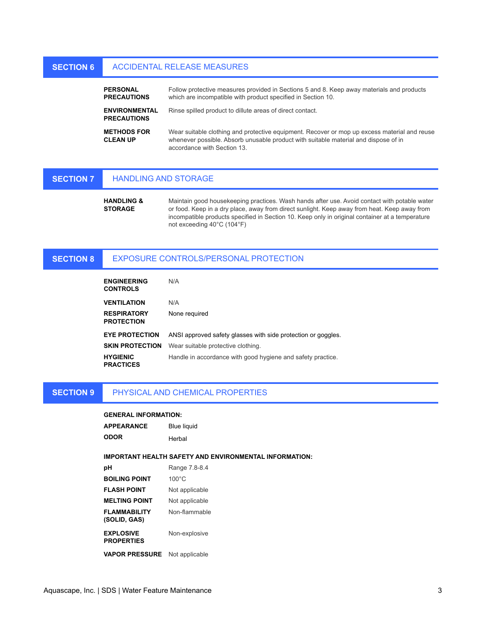### **SECTION 6** ACCIDENTAL RELEASE MEASURES

| <b>PERSONAL</b><br><b>PRECAUTIONS</b>      | Follow protective measures provided in Sections 5 and 8. Keep away materials and products<br>which are incompatible with product specified in Section 10.                                                          |
|--------------------------------------------|--------------------------------------------------------------------------------------------------------------------------------------------------------------------------------------------------------------------|
| <b>ENVIRONMENTAL</b><br><b>PRECAUTIONS</b> | Rinse spilled product to dillute areas of direct contact.                                                                                                                                                          |
| <b>METHODS FOR</b><br><b>CLEAN UP</b>      | Wear suitable clothing and protective equipment. Recover or mop up excess material and reuse<br>whenever possible. Absorb unusable product with suitable material and dispose of in<br>accordance with Section 13. |

#### **SECTION 7** HANDLING AND STORAGE

**HANDLING & STORAGE** Maintain good housekeeping practices. Wash hands after use. Avoid contact with potable water or food. Keep in a dry place, away from direct sunlight. Keep away from heat. Keep away from incompatible products specified in Section 10. Keep only in original container at a temperature not exceeding 40°C (104°F)

### **SECTION 8** EXPOSURE CONTROLS/PERSONAL PROTECTION

| <b>ENGINEERING</b><br><b>CONTROLS</b>   | N/A                                                           |
|-----------------------------------------|---------------------------------------------------------------|
| <b>VENTILATION</b>                      | N/A                                                           |
| <b>RESPIRATORY</b><br><b>PROTECTION</b> | None required                                                 |
| <b>EYE PROTECTION</b>                   | ANSI approved safety glasses with side protection or goggles. |
| <b>SKIN PROTECTION</b>                  | Wear suitable protective clothing.                            |
| <b>HYGIENIC</b><br><b>PRACTICES</b>     | Handle in accordance with good hygiene and safety practice.   |

#### **SECTION 9** PHYSICAL AND CHEMICAL PROPERTIES

## **GENERAL INFORMATION:**

| <b>APPEARANCE</b> | <b>Blue liquid</b> |
|-------------------|--------------------|
| ODOR              | Herbal             |

### **IMPORTANT HEALTH SAFETY AND ENVIRONMENTAL INFORMATION:**

| рH                                    | Range 7.8-8.4   |
|---------------------------------------|-----------------|
| <b>BOILING POINT</b>                  | $100^{\circ}$ C |
| <b>FLASH POINT</b>                    | Not applicable  |
| <b>MELTING POINT</b>                  | Not applicable  |
| <b>FLAMMABILITY</b><br>(SOLID, GAS)   | Non-flammable   |
| <b>EXPLOSIVE</b><br><b>PROPERTIES</b> | Non-explosive   |
| <b>VAPOR PRESSURE</b>                 | Not applicable  |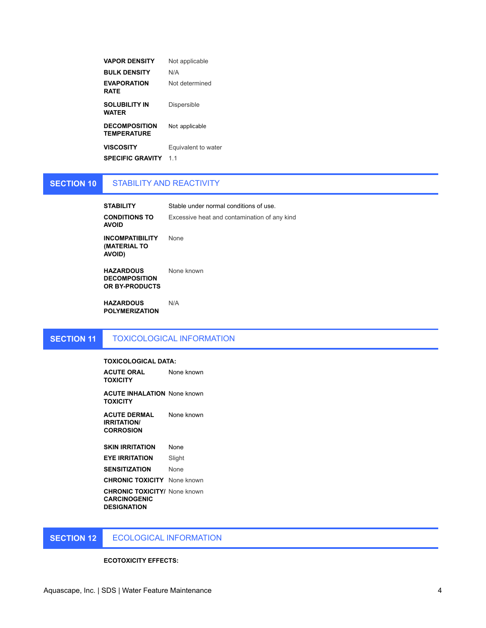| <b>VAPOR DENSITY</b>                       | Not applicable      |
|--------------------------------------------|---------------------|
| <b>BULK DENSITY</b>                        | N/A                 |
| <b>EVAPORATION</b><br>RATE                 | Not determined      |
| <b>SOLUBILITY IN</b><br>WATER              | Dispersible         |
| <b>DECOMPOSITION</b><br><b>TEMPERATURE</b> | Not applicable      |
| <b>VISCOSITY</b>                           | Equivalent to water |
| <b>SPECIFIC GRAVITY</b>                    | 1 <sub>1</sub>      |

### **SECTION 10** STABILITY AND REACTIVITY

| <b>STABILITY</b>                                               | Stable under normal conditions of use        |
|----------------------------------------------------------------|----------------------------------------------|
| <b>CONDITIONS TO</b><br><b>AVOID</b>                           | Excessive heat and contamination of any kind |
| <b>INCOMPATIBILITY</b><br><b>(MATERIAL TO</b><br><b>AVOID)</b> | <b>None</b>                                  |
| <b>HAZARDOUS</b><br><b>DECOMPOSITION</b><br>OR BY-PRODUCTS     | None known                                   |

**HAZARDOUS POLYMERIZATION** N/A

# **SECTION 11**

## TOXICOLOGICAL INFORMATION

## **TOXICOLOGICAL DATA:**

**ACUTE ORAL TOXICITY** None known

**ACUTE INHALATION**  None known **TOXICITY**

**ACUTE DERMAL IRRITATION/ CORROSION** None known

**SKIN IRRITATION None EYE IRRITATION** Slight **SENSITIZATION** None

**CHRONIC TOXICITY** None known

**CHRONIC TOXICITY/**  None known **CARCINOGENIC DESIGNATION**

**SECTION 12** ECOLOGICAL INFORMATION

### **ECOTOXICITY EFFECTS:**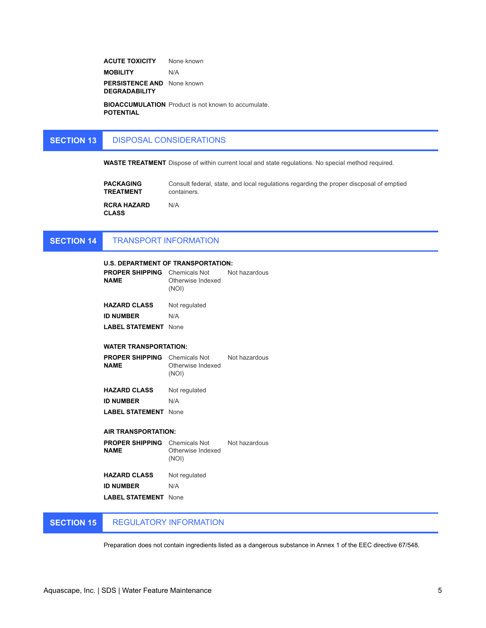**ACUTE TOXICITY** None known **MOBILITY** N/A **PERSISTENCE AND**  None known **DEGRADABILITY**

**BIOACCUMULATION**  Product is not known to accumulate. **POTENTIAL**

### **SECTION 13** DISPOSAL CONSIDERATIONS

**WASTE TREATMENT** Dispose of within current local and state regulations. No special method required.

| <b>PACKAGING</b>                   | Consult federal, state, and local regulations regarding the proper discposal of emptied |
|------------------------------------|-----------------------------------------------------------------------------------------|
| <b>TREATMENT</b>                   | containers.                                                                             |
| <b>RCRA HAZARD</b><br><b>CLASS</b> | N/A                                                                                     |

### **SECTION 14** TRANSPORT INFORMATION

| U.S. DEPARTMENT OF TRANSPORTATION:                                |                                                           |               |
|-------------------------------------------------------------------|-----------------------------------------------------------|---------------|
| <b>PROPER SHIPPING</b> Chemicals Not Not hazardous<br><b>NAME</b> | Otherwise Indexed<br>(NOI)                                |               |
| <b>HAZARD CLASS</b>                                               | Not regulated                                             |               |
| <b>ID NUMBER</b>                                                  | N/A                                                       |               |
| <b>LABEL STATEMENT</b>                                            | <b>None</b>                                               |               |
| <b>WATER TRANSPORTATION:</b>                                      |                                                           |               |
| <b>PROPER SHIPPING</b> Chemicals Not<br><b>NAME</b>               | Otherwise Indexed<br>(NOI)                                | Not hazardous |
| <b>HAZARD CLASS</b>                                               | Not regulated                                             |               |
| <b>ID NUMBER</b>                                                  | N/A                                                       |               |
|                                                                   |                                                           |               |
| <b>LABEL STATEMENT</b> None                                       |                                                           |               |
| <b>AIR TRANSPORTATION:</b>                                        |                                                           |               |
| <b>PROPER SHIPPING</b><br><b>NAME</b>                             | Chemicals Not Not hazardous<br>Otherwise Indexed<br>(NOI) |               |
| <b>HAZARD CLASS</b>                                               | Not regulated                                             |               |
| <b>ID NUMBER</b>                                                  | N/A                                                       |               |
| <b>LABEL STATEMENT</b>                                            | None                                                      |               |

### **SECTION 15** REGULATORY INFORMATION

Preparation does not contain ingredients listed as a dangerous substance in Annex 1 of the EEC directive 67/548.